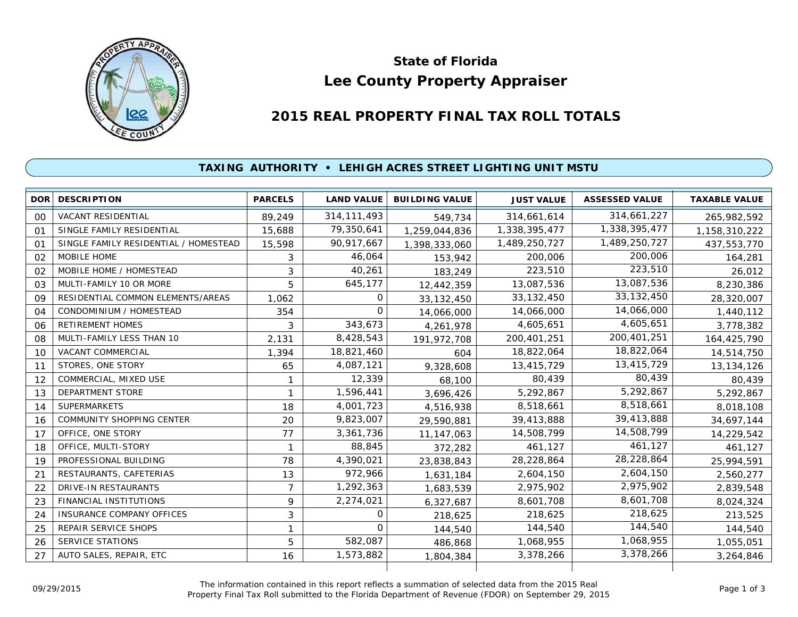

# **Lee County Property Appraiser State of Florida**

# **2015 REAL PROPERTY FINAL TAX ROLL TOTALS**

## **TAXING AUTHORITY • LEHIGH ACRES STREET LIGHTING UNIT MSTU**

| <b>DOR</b> | <b>DESCRIPTION</b>                    | <b>PARCELS</b> | <b>LAND VALUE</b> | <b>BUILDING VALUE</b> | <b>JUST VALUE</b> | <b>ASSESSED VALUE</b> | <b>TAXABLE VALUE</b> |
|------------|---------------------------------------|----------------|-------------------|-----------------------|-------------------|-----------------------|----------------------|
| 00         | VACANT RESIDENTIAL                    | 89,249         | 314, 111, 493     | 549,734               | 314,661,614       | 314,661,227           | 265,982,592          |
| $^{\circ}$ | SINGLE FAMILY RESIDENTIAL             | 15,688         | 79,350,641        | 1,259,044,836         | 1,338,395,477     | 1,338,395,477         | 1,158,310,222        |
| 01         | SINGLE FAMILY RESIDENTIAL / HOMESTEAD | 15,598         | 90,917,667        | 1,398,333,060         | 1,489,250,727     | 1,489,250,727         | 437,553,770          |
| 02         | MOBILE HOME                           | 3              | 46,064            | 153,942               | 200,006           | 200,006               | 164,281              |
| 02         | MOBILE HOME / HOMESTEAD               | 3              | 40,261            | 183,249               | 223,510           | 223,510               | 26,012               |
| 03         | MULTI-FAMILY 10 OR MORE               | 5              | 645,177           | 12,442,359            | 13,087,536        | 13,087,536            | 8,230,386            |
| 09         | RESIDENTIAL COMMON ELEMENTS/AREAS     | 1,062          | 0                 | 33, 132, 450          | 33, 132, 450      | 33, 132, 450          | 28,320,007           |
| 04         | CONDOMINIUM / HOMESTEAD               | 354            | $\Omega$          | 14,066,000            | 14,066,000        | 14,066,000            | 1,440,112            |
| 06         | <b>RETIREMENT HOMES</b>               | 3              | 343,673           | 4,261,978             | 4,605,651         | 4,605,651             | 3,778,382            |
| 08         | MULTI-FAMILY LESS THAN 10             | 2,131          | 8,428,543         | 191,972,708           | 200,401,251       | 200,401,251           | 164,425,790          |
| 10         | <b>VACANT COMMERCIAL</b>              | 1,394          | 18,821,460        | 604                   | 18,822,064        | 18,822,064            | 14,514,750           |
| 11         | STORES, ONE STORY                     | 65             | 4,087,121         | 9,328,608             | 13,415,729        | 13,415,729            | 13,134,126           |
| 12         | COMMERCIAL, MIXED USE                 |                | 12,339            | 68,100                | 80,439            | 80,439                | 80,439               |
| 13         | <b>DEPARTMENT STORE</b>               |                | 1,596,441         | 3,696,426             | 5,292,867         | 5,292,867             | 5,292,867            |
| 14         | <b>SUPERMARKETS</b>                   | 18             | 4,001,723         | 4,516,938             | 8,518,661         | 8,518,661             | 8,018,108            |
| 16         | <b>COMMUNITY SHOPPING CENTER</b>      | 20             | 9,823,007         | 29,590,881            | 39,413,888        | 39,413,888            | 34,697,144           |
| 17         | OFFICE, ONE STORY                     | 77             | 3,361,736         | 11, 147, 063          | 14,508,799        | 14,508,799            | 14,229,542           |
| 18         | OFFICE, MULTI-STORY                   | $\mathbf{1}$   | 88,845            | 372,282               | 461,127           | 461,127               | 461,127              |
| 19         | PROFESSIONAL BUILDING                 | 78             | 4,390,021         | 23,838,843            | 28,228,864        | 28,228,864            | 25,994,591           |
| 21         | RESTAURANTS, CAFETERIAS               | 13             | 972,966           | 1,631,184             | 2,604,150         | 2,604,150             | 2,560,277            |
| 22         | <b>DRIVE-IN RESTAURANTS</b>           | $\overline{7}$ | 1,292,363         | 1,683,539             | 2,975,902         | 2,975,902             | 2,839,548            |
| 23         | <b>FINANCIAL INSTITUTIONS</b>         | 9              | 2,274,021         | 6,327,687             | 8,601,708         | 8,601,708             | 8,024,324            |
| 24         | <b>INSURANCE COMPANY OFFICES</b>      | 3              | 0                 | 218,625               | 218,625           | 218,625               | 213,525              |
| 25         | <b>REPAIR SERVICE SHOPS</b>           |                | $\Omega$          | 144,540               | 144,540           | 144,540               | 144,540              |
| 26         | <b>SERVICE STATIONS</b>               | 5              | 582,087           | 486,868               | 1,068,955         | 1,068,955             | 1,055,051            |
| 27         | AUTO SALES, REPAIR, ETC               | 16             | 1,573,882         | 1,804,384             | 3,378,266         | 3,378,266             | 3,264,846            |
|            |                                       |                |                   |                       |                   |                       |                      |

The information contained in this report reflects a summation of selected data from the 2015 Real Ine information contained in this report reflects a summation of selected data from the 2015 Real<br>Property Final Tax Roll submitted to the Florida Department of Revenue (FDOR) on September 29, 2015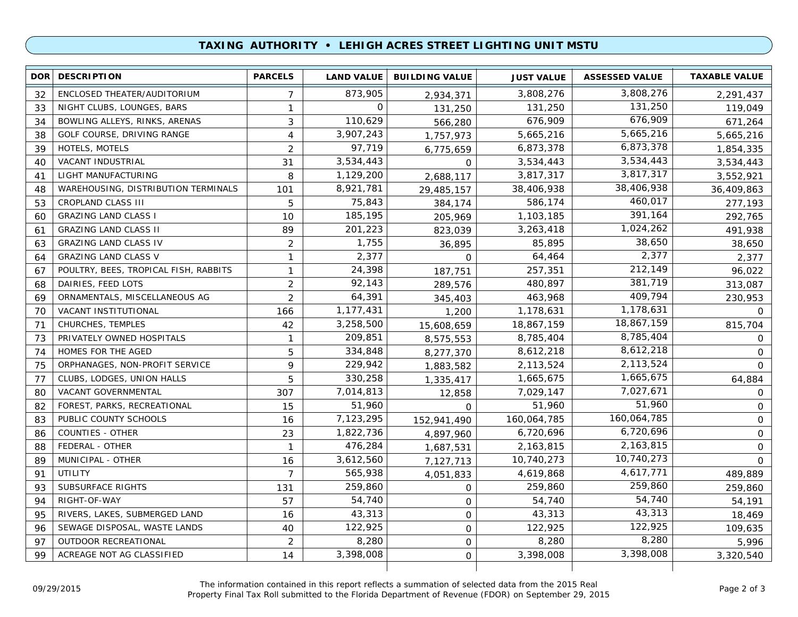### **TAXING AUTHORITY • LEHIGH ACRES STREET LIGHTING UNIT MSTU**

| 3,808,276<br>873,905<br>ENCLOSED THEATER/AUDITORIUM<br>3,808,276<br>32<br>$\overline{7}$<br>2,291,437<br>2,934,371<br>131,250<br>0<br>131,250<br>NIGHT CLUBS, LOUNGES, BARS<br>1<br>119,049<br>33<br>131,250<br>676,909<br>110,629<br>3<br>676,909<br>BOWLING ALLEYS, RINKS, ARENAS<br>671,264<br>34<br>566,280<br>5,665,216<br>3,907,243<br>GOLF COURSE, DRIVING RANGE<br>5,665,216<br>38<br>4<br>5,665,216<br>1,757,973<br>6,873,378<br>97,719<br>HOTELS, MOTELS<br>$\overline{2}$<br>6,873,378<br>39<br>1,854,335<br>6,775,659<br>3,534,443<br>3,534,443<br>VACANT INDUSTRIAL<br>3,534,443<br>31<br>3,534,443<br>40<br>0<br>3,817,317<br>1,129,200<br>LIGHT MANUFACTURING<br>3,817,317<br>8<br>2,688,117<br>3,552,921<br>41<br>38,406,938<br>8,921,781<br>WAREHOUSING, DISTRIBUTION TERMINALS<br>38,406,938<br>101<br>36,409,863<br>48<br>29,485,157<br>460,017<br>75,843<br>586,174<br><b>CROPLAND CLASS III</b><br>5<br>277,193<br>53<br>384,174<br>391,164<br>185,195<br><b>GRAZING LAND CLASS I</b><br>1,103,185<br>292,765<br>10<br>60<br>205,969<br>1,024,262<br><b>GRAZING LAND CLASS II</b><br>89<br>201,223<br>3,263,418<br>491,938<br>61<br>823,039<br>38,650<br>1,755<br><b>GRAZING LAND CLASS IV</b><br>$\overline{2}$<br>85,895<br>38,650<br>63<br>36,895<br>2,377<br>2,377<br><b>GRAZING LAND CLASS V</b><br>64,464<br>1<br>2,377<br>64<br>0<br>212,149<br>24,398<br>POULTRY, BEES, TROPICAL FISH, RABBITS<br>257,351<br>$\mathbf{1}$<br>96,022<br>67<br>187,751<br>381,719<br>92,143<br>DAIRIES, FEED LOTS<br>$\overline{2}$<br>480,897<br>313,087<br>68<br>289,576<br>409,794<br>$\overline{2}$<br>64,391<br>ORNAMENTALS, MISCELLANEOUS AG<br>463,968<br>230,953<br>69<br>345,403<br>1,178,631<br>VACANT INSTITUTIONAL<br>1,177,431<br>1,178,631<br>70<br>166<br>$\mathbf 0$<br>1,200<br>18,867,159<br>CHURCHES, TEMPLES<br>42<br>3,258,500<br>18,867,159<br>815,704<br>71<br>15,608,659<br>8,785,404<br>209,851<br>PRIVATELY OWNED HOSPITALS<br>8,785,404<br>73<br>$\mathbf{1}$<br>8,575,553<br>0<br>8,612,218<br>334,848<br>HOMES FOR THE AGED<br>5<br>8,612,218<br>74<br>8,277,370<br>$\mathbf 0$<br>2,113,524<br>229,942<br>ORPHANAGES, NON-PROFIT SERVICE<br>9<br>2,113,524<br>$\Omega$<br>75<br>1,883,582<br>1,665,675<br>330,258<br>CLUBS, LODGES, UNION HALLS<br>5<br>1,665,675<br>77<br>64,884<br>1,335,417<br>7,027,671<br>7,014,813<br>VACANT GOVERNMENTAL<br>307<br>7,029,147<br>$\mathbf 0$<br>80<br>12,858<br>51,960<br>51,960<br>FOREST, PARKS, RECREATIONAL<br>51,960<br>82<br>15<br>$\mathbf 0$<br>$\Omega$<br>160,064,785<br>160,064,785<br>PUBLIC COUNTY SCHOOLS<br>7,123,295<br>$\mathbf 0$<br>83<br>16<br>152,941,490<br>6,720,696<br>1,822,736<br><b>COUNTIES - OTHER</b><br>23<br>6,720,696<br>$\mathbf 0$<br>86<br>4,897,960<br>2,163,815<br>476,284<br>FEDERAL - OTHER<br>2,163,815<br>$\mathbf 0$<br>88<br>$\mathbf{1}$<br>1,687,531<br>10,740,273<br>3,612,560<br>MUNICIPAL - OTHER<br>10,740,273<br>$\Omega$<br>89<br>16<br>7,127,713<br>4,617,771<br>565,938<br><b>UTILITY</b><br>$\overline{7}$<br>4,619,868<br>91<br>489,889<br>4,051,833<br>259,860<br>259,860<br><b>SUBSURFACE RIGHTS</b><br>259,860<br>93<br>131<br>259,860<br>$\mathbf{O}$<br>54,740<br>54,740<br>RIGHT-OF-WAY<br>54,740<br>94<br>57<br>54,191<br>$\mathbf 0$<br>43,313<br>43,313<br>RIVERS, LAKES, SUBMERGED LAND<br>43,313<br>16<br>$\mathsf{O}$<br>18,469<br>95<br>122,925<br>122,925<br>122,925<br>96<br>SEWAGE DISPOSAL, WASTE LANDS<br>40<br>$\mathsf{O}$<br>109,635<br>8,280<br>8,280<br>8,280<br>OUTDOOR RECREATIONAL<br>$\overline{2}$<br>97<br>$\mathsf{O}$<br>5,996<br>3,398,008<br>3,398,008<br>99<br>ACREAGE NOT AG CLASSIFIED<br>3,398,008<br>14<br>0<br>3,320,540 | <b>DOR</b> | <b>DESCRIPTION</b> | <b>PARCELS</b> | <b>LAND VALUE</b> | <b>BUILDING VALUE</b> | <b>JUST VALUE</b> | <b>ASSESSED VALUE</b> | <b>TAXABLE VALUE</b> |
|--------------------------------------------------------------------------------------------------------------------------------------------------------------------------------------------------------------------------------------------------------------------------------------------------------------------------------------------------------------------------------------------------------------------------------------------------------------------------------------------------------------------------------------------------------------------------------------------------------------------------------------------------------------------------------------------------------------------------------------------------------------------------------------------------------------------------------------------------------------------------------------------------------------------------------------------------------------------------------------------------------------------------------------------------------------------------------------------------------------------------------------------------------------------------------------------------------------------------------------------------------------------------------------------------------------------------------------------------------------------------------------------------------------------------------------------------------------------------------------------------------------------------------------------------------------------------------------------------------------------------------------------------------------------------------------------------------------------------------------------------------------------------------------------------------------------------------------------------------------------------------------------------------------------------------------------------------------------------------------------------------------------------------------------------------------------------------------------------------------------------------------------------------------------------------------------------------------------------------------------------------------------------------------------------------------------------------------------------------------------------------------------------------------------------------------------------------------------------------------------------------------------------------------------------------------------------------------------------------------------------------------------------------------------------------------------------------------------------------------------------------------------------------------------------------------------------------------------------------------------------------------------------------------------------------------------------------------------------------------------------------------------------------------------------------------------------------------------------------------------------------------------------------------------------------------------------------------------------------------------------------------------------------------------------------------------------------------------------------------------------------------------------------------------------------------------------------------------------------------------------------------------------------------------------------------------------------------------------------------------------------------------------------------------------------------------------------|------------|--------------------|----------------|-------------------|-----------------------|-------------------|-----------------------|----------------------|
|                                                                                                                                                                                                                                                                                                                                                                                                                                                                                                                                                                                                                                                                                                                                                                                                                                                                                                                                                                                                                                                                                                                                                                                                                                                                                                                                                                                                                                                                                                                                                                                                                                                                                                                                                                                                                                                                                                                                                                                                                                                                                                                                                                                                                                                                                                                                                                                                                                                                                                                                                                                                                                                                                                                                                                                                                                                                                                                                                                                                                                                                                                                                                                                                                                                                                                                                                                                                                                                                                                                                                                                                                                                                                                        |            |                    |                |                   |                       |                   |                       |                      |
|                                                                                                                                                                                                                                                                                                                                                                                                                                                                                                                                                                                                                                                                                                                                                                                                                                                                                                                                                                                                                                                                                                                                                                                                                                                                                                                                                                                                                                                                                                                                                                                                                                                                                                                                                                                                                                                                                                                                                                                                                                                                                                                                                                                                                                                                                                                                                                                                                                                                                                                                                                                                                                                                                                                                                                                                                                                                                                                                                                                                                                                                                                                                                                                                                                                                                                                                                                                                                                                                                                                                                                                                                                                                                                        |            |                    |                |                   |                       |                   |                       |                      |
|                                                                                                                                                                                                                                                                                                                                                                                                                                                                                                                                                                                                                                                                                                                                                                                                                                                                                                                                                                                                                                                                                                                                                                                                                                                                                                                                                                                                                                                                                                                                                                                                                                                                                                                                                                                                                                                                                                                                                                                                                                                                                                                                                                                                                                                                                                                                                                                                                                                                                                                                                                                                                                                                                                                                                                                                                                                                                                                                                                                                                                                                                                                                                                                                                                                                                                                                                                                                                                                                                                                                                                                                                                                                                                        |            |                    |                |                   |                       |                   |                       |                      |
|                                                                                                                                                                                                                                                                                                                                                                                                                                                                                                                                                                                                                                                                                                                                                                                                                                                                                                                                                                                                                                                                                                                                                                                                                                                                                                                                                                                                                                                                                                                                                                                                                                                                                                                                                                                                                                                                                                                                                                                                                                                                                                                                                                                                                                                                                                                                                                                                                                                                                                                                                                                                                                                                                                                                                                                                                                                                                                                                                                                                                                                                                                                                                                                                                                                                                                                                                                                                                                                                                                                                                                                                                                                                                                        |            |                    |                |                   |                       |                   |                       |                      |
|                                                                                                                                                                                                                                                                                                                                                                                                                                                                                                                                                                                                                                                                                                                                                                                                                                                                                                                                                                                                                                                                                                                                                                                                                                                                                                                                                                                                                                                                                                                                                                                                                                                                                                                                                                                                                                                                                                                                                                                                                                                                                                                                                                                                                                                                                                                                                                                                                                                                                                                                                                                                                                                                                                                                                                                                                                                                                                                                                                                                                                                                                                                                                                                                                                                                                                                                                                                                                                                                                                                                                                                                                                                                                                        |            |                    |                |                   |                       |                   |                       |                      |
|                                                                                                                                                                                                                                                                                                                                                                                                                                                                                                                                                                                                                                                                                                                                                                                                                                                                                                                                                                                                                                                                                                                                                                                                                                                                                                                                                                                                                                                                                                                                                                                                                                                                                                                                                                                                                                                                                                                                                                                                                                                                                                                                                                                                                                                                                                                                                                                                                                                                                                                                                                                                                                                                                                                                                                                                                                                                                                                                                                                                                                                                                                                                                                                                                                                                                                                                                                                                                                                                                                                                                                                                                                                                                                        |            |                    |                |                   |                       |                   |                       |                      |
|                                                                                                                                                                                                                                                                                                                                                                                                                                                                                                                                                                                                                                                                                                                                                                                                                                                                                                                                                                                                                                                                                                                                                                                                                                                                                                                                                                                                                                                                                                                                                                                                                                                                                                                                                                                                                                                                                                                                                                                                                                                                                                                                                                                                                                                                                                                                                                                                                                                                                                                                                                                                                                                                                                                                                                                                                                                                                                                                                                                                                                                                                                                                                                                                                                                                                                                                                                                                                                                                                                                                                                                                                                                                                                        |            |                    |                |                   |                       |                   |                       |                      |
|                                                                                                                                                                                                                                                                                                                                                                                                                                                                                                                                                                                                                                                                                                                                                                                                                                                                                                                                                                                                                                                                                                                                                                                                                                                                                                                                                                                                                                                                                                                                                                                                                                                                                                                                                                                                                                                                                                                                                                                                                                                                                                                                                                                                                                                                                                                                                                                                                                                                                                                                                                                                                                                                                                                                                                                                                                                                                                                                                                                                                                                                                                                                                                                                                                                                                                                                                                                                                                                                                                                                                                                                                                                                                                        |            |                    |                |                   |                       |                   |                       |                      |
|                                                                                                                                                                                                                                                                                                                                                                                                                                                                                                                                                                                                                                                                                                                                                                                                                                                                                                                                                                                                                                                                                                                                                                                                                                                                                                                                                                                                                                                                                                                                                                                                                                                                                                                                                                                                                                                                                                                                                                                                                                                                                                                                                                                                                                                                                                                                                                                                                                                                                                                                                                                                                                                                                                                                                                                                                                                                                                                                                                                                                                                                                                                                                                                                                                                                                                                                                                                                                                                                                                                                                                                                                                                                                                        |            |                    |                |                   |                       |                   |                       |                      |
|                                                                                                                                                                                                                                                                                                                                                                                                                                                                                                                                                                                                                                                                                                                                                                                                                                                                                                                                                                                                                                                                                                                                                                                                                                                                                                                                                                                                                                                                                                                                                                                                                                                                                                                                                                                                                                                                                                                                                                                                                                                                                                                                                                                                                                                                                                                                                                                                                                                                                                                                                                                                                                                                                                                                                                                                                                                                                                                                                                                                                                                                                                                                                                                                                                                                                                                                                                                                                                                                                                                                                                                                                                                                                                        |            |                    |                |                   |                       |                   |                       |                      |
|                                                                                                                                                                                                                                                                                                                                                                                                                                                                                                                                                                                                                                                                                                                                                                                                                                                                                                                                                                                                                                                                                                                                                                                                                                                                                                                                                                                                                                                                                                                                                                                                                                                                                                                                                                                                                                                                                                                                                                                                                                                                                                                                                                                                                                                                                                                                                                                                                                                                                                                                                                                                                                                                                                                                                                                                                                                                                                                                                                                                                                                                                                                                                                                                                                                                                                                                                                                                                                                                                                                                                                                                                                                                                                        |            |                    |                |                   |                       |                   |                       |                      |
|                                                                                                                                                                                                                                                                                                                                                                                                                                                                                                                                                                                                                                                                                                                                                                                                                                                                                                                                                                                                                                                                                                                                                                                                                                                                                                                                                                                                                                                                                                                                                                                                                                                                                                                                                                                                                                                                                                                                                                                                                                                                                                                                                                                                                                                                                                                                                                                                                                                                                                                                                                                                                                                                                                                                                                                                                                                                                                                                                                                                                                                                                                                                                                                                                                                                                                                                                                                                                                                                                                                                                                                                                                                                                                        |            |                    |                |                   |                       |                   |                       |                      |
|                                                                                                                                                                                                                                                                                                                                                                                                                                                                                                                                                                                                                                                                                                                                                                                                                                                                                                                                                                                                                                                                                                                                                                                                                                                                                                                                                                                                                                                                                                                                                                                                                                                                                                                                                                                                                                                                                                                                                                                                                                                                                                                                                                                                                                                                                                                                                                                                                                                                                                                                                                                                                                                                                                                                                                                                                                                                                                                                                                                                                                                                                                                                                                                                                                                                                                                                                                                                                                                                                                                                                                                                                                                                                                        |            |                    |                |                   |                       |                   |                       |                      |
|                                                                                                                                                                                                                                                                                                                                                                                                                                                                                                                                                                                                                                                                                                                                                                                                                                                                                                                                                                                                                                                                                                                                                                                                                                                                                                                                                                                                                                                                                                                                                                                                                                                                                                                                                                                                                                                                                                                                                                                                                                                                                                                                                                                                                                                                                                                                                                                                                                                                                                                                                                                                                                                                                                                                                                                                                                                                                                                                                                                                                                                                                                                                                                                                                                                                                                                                                                                                                                                                                                                                                                                                                                                                                                        |            |                    |                |                   |                       |                   |                       |                      |
|                                                                                                                                                                                                                                                                                                                                                                                                                                                                                                                                                                                                                                                                                                                                                                                                                                                                                                                                                                                                                                                                                                                                                                                                                                                                                                                                                                                                                                                                                                                                                                                                                                                                                                                                                                                                                                                                                                                                                                                                                                                                                                                                                                                                                                                                                                                                                                                                                                                                                                                                                                                                                                                                                                                                                                                                                                                                                                                                                                                                                                                                                                                                                                                                                                                                                                                                                                                                                                                                                                                                                                                                                                                                                                        |            |                    |                |                   |                       |                   |                       |                      |
|                                                                                                                                                                                                                                                                                                                                                                                                                                                                                                                                                                                                                                                                                                                                                                                                                                                                                                                                                                                                                                                                                                                                                                                                                                                                                                                                                                                                                                                                                                                                                                                                                                                                                                                                                                                                                                                                                                                                                                                                                                                                                                                                                                                                                                                                                                                                                                                                                                                                                                                                                                                                                                                                                                                                                                                                                                                                                                                                                                                                                                                                                                                                                                                                                                                                                                                                                                                                                                                                                                                                                                                                                                                                                                        |            |                    |                |                   |                       |                   |                       |                      |
|                                                                                                                                                                                                                                                                                                                                                                                                                                                                                                                                                                                                                                                                                                                                                                                                                                                                                                                                                                                                                                                                                                                                                                                                                                                                                                                                                                                                                                                                                                                                                                                                                                                                                                                                                                                                                                                                                                                                                                                                                                                                                                                                                                                                                                                                                                                                                                                                                                                                                                                                                                                                                                                                                                                                                                                                                                                                                                                                                                                                                                                                                                                                                                                                                                                                                                                                                                                                                                                                                                                                                                                                                                                                                                        |            |                    |                |                   |                       |                   |                       |                      |
|                                                                                                                                                                                                                                                                                                                                                                                                                                                                                                                                                                                                                                                                                                                                                                                                                                                                                                                                                                                                                                                                                                                                                                                                                                                                                                                                                                                                                                                                                                                                                                                                                                                                                                                                                                                                                                                                                                                                                                                                                                                                                                                                                                                                                                                                                                                                                                                                                                                                                                                                                                                                                                                                                                                                                                                                                                                                                                                                                                                                                                                                                                                                                                                                                                                                                                                                                                                                                                                                                                                                                                                                                                                                                                        |            |                    |                |                   |                       |                   |                       |                      |
|                                                                                                                                                                                                                                                                                                                                                                                                                                                                                                                                                                                                                                                                                                                                                                                                                                                                                                                                                                                                                                                                                                                                                                                                                                                                                                                                                                                                                                                                                                                                                                                                                                                                                                                                                                                                                                                                                                                                                                                                                                                                                                                                                                                                                                                                                                                                                                                                                                                                                                                                                                                                                                                                                                                                                                                                                                                                                                                                                                                                                                                                                                                                                                                                                                                                                                                                                                                                                                                                                                                                                                                                                                                                                                        |            |                    |                |                   |                       |                   |                       |                      |
|                                                                                                                                                                                                                                                                                                                                                                                                                                                                                                                                                                                                                                                                                                                                                                                                                                                                                                                                                                                                                                                                                                                                                                                                                                                                                                                                                                                                                                                                                                                                                                                                                                                                                                                                                                                                                                                                                                                                                                                                                                                                                                                                                                                                                                                                                                                                                                                                                                                                                                                                                                                                                                                                                                                                                                                                                                                                                                                                                                                                                                                                                                                                                                                                                                                                                                                                                                                                                                                                                                                                                                                                                                                                                                        |            |                    |                |                   |                       |                   |                       |                      |
|                                                                                                                                                                                                                                                                                                                                                                                                                                                                                                                                                                                                                                                                                                                                                                                                                                                                                                                                                                                                                                                                                                                                                                                                                                                                                                                                                                                                                                                                                                                                                                                                                                                                                                                                                                                                                                                                                                                                                                                                                                                                                                                                                                                                                                                                                                                                                                                                                                                                                                                                                                                                                                                                                                                                                                                                                                                                                                                                                                                                                                                                                                                                                                                                                                                                                                                                                                                                                                                                                                                                                                                                                                                                                                        |            |                    |                |                   |                       |                   |                       |                      |
|                                                                                                                                                                                                                                                                                                                                                                                                                                                                                                                                                                                                                                                                                                                                                                                                                                                                                                                                                                                                                                                                                                                                                                                                                                                                                                                                                                                                                                                                                                                                                                                                                                                                                                                                                                                                                                                                                                                                                                                                                                                                                                                                                                                                                                                                                                                                                                                                                                                                                                                                                                                                                                                                                                                                                                                                                                                                                                                                                                                                                                                                                                                                                                                                                                                                                                                                                                                                                                                                                                                                                                                                                                                                                                        |            |                    |                |                   |                       |                   |                       |                      |
|                                                                                                                                                                                                                                                                                                                                                                                                                                                                                                                                                                                                                                                                                                                                                                                                                                                                                                                                                                                                                                                                                                                                                                                                                                                                                                                                                                                                                                                                                                                                                                                                                                                                                                                                                                                                                                                                                                                                                                                                                                                                                                                                                                                                                                                                                                                                                                                                                                                                                                                                                                                                                                                                                                                                                                                                                                                                                                                                                                                                                                                                                                                                                                                                                                                                                                                                                                                                                                                                                                                                                                                                                                                                                                        |            |                    |                |                   |                       |                   |                       |                      |
|                                                                                                                                                                                                                                                                                                                                                                                                                                                                                                                                                                                                                                                                                                                                                                                                                                                                                                                                                                                                                                                                                                                                                                                                                                                                                                                                                                                                                                                                                                                                                                                                                                                                                                                                                                                                                                                                                                                                                                                                                                                                                                                                                                                                                                                                                                                                                                                                                                                                                                                                                                                                                                                                                                                                                                                                                                                                                                                                                                                                                                                                                                                                                                                                                                                                                                                                                                                                                                                                                                                                                                                                                                                                                                        |            |                    |                |                   |                       |                   |                       |                      |
|                                                                                                                                                                                                                                                                                                                                                                                                                                                                                                                                                                                                                                                                                                                                                                                                                                                                                                                                                                                                                                                                                                                                                                                                                                                                                                                                                                                                                                                                                                                                                                                                                                                                                                                                                                                                                                                                                                                                                                                                                                                                                                                                                                                                                                                                                                                                                                                                                                                                                                                                                                                                                                                                                                                                                                                                                                                                                                                                                                                                                                                                                                                                                                                                                                                                                                                                                                                                                                                                                                                                                                                                                                                                                                        |            |                    |                |                   |                       |                   |                       |                      |
|                                                                                                                                                                                                                                                                                                                                                                                                                                                                                                                                                                                                                                                                                                                                                                                                                                                                                                                                                                                                                                                                                                                                                                                                                                                                                                                                                                                                                                                                                                                                                                                                                                                                                                                                                                                                                                                                                                                                                                                                                                                                                                                                                                                                                                                                                                                                                                                                                                                                                                                                                                                                                                                                                                                                                                                                                                                                                                                                                                                                                                                                                                                                                                                                                                                                                                                                                                                                                                                                                                                                                                                                                                                                                                        |            |                    |                |                   |                       |                   |                       |                      |
|                                                                                                                                                                                                                                                                                                                                                                                                                                                                                                                                                                                                                                                                                                                                                                                                                                                                                                                                                                                                                                                                                                                                                                                                                                                                                                                                                                                                                                                                                                                                                                                                                                                                                                                                                                                                                                                                                                                                                                                                                                                                                                                                                                                                                                                                                                                                                                                                                                                                                                                                                                                                                                                                                                                                                                                                                                                                                                                                                                                                                                                                                                                                                                                                                                                                                                                                                                                                                                                                                                                                                                                                                                                                                                        |            |                    |                |                   |                       |                   |                       |                      |
|                                                                                                                                                                                                                                                                                                                                                                                                                                                                                                                                                                                                                                                                                                                                                                                                                                                                                                                                                                                                                                                                                                                                                                                                                                                                                                                                                                                                                                                                                                                                                                                                                                                                                                                                                                                                                                                                                                                                                                                                                                                                                                                                                                                                                                                                                                                                                                                                                                                                                                                                                                                                                                                                                                                                                                                                                                                                                                                                                                                                                                                                                                                                                                                                                                                                                                                                                                                                                                                                                                                                                                                                                                                                                                        |            |                    |                |                   |                       |                   |                       |                      |
|                                                                                                                                                                                                                                                                                                                                                                                                                                                                                                                                                                                                                                                                                                                                                                                                                                                                                                                                                                                                                                                                                                                                                                                                                                                                                                                                                                                                                                                                                                                                                                                                                                                                                                                                                                                                                                                                                                                                                                                                                                                                                                                                                                                                                                                                                                                                                                                                                                                                                                                                                                                                                                                                                                                                                                                                                                                                                                                                                                                                                                                                                                                                                                                                                                                                                                                                                                                                                                                                                                                                                                                                                                                                                                        |            |                    |                |                   |                       |                   |                       |                      |
|                                                                                                                                                                                                                                                                                                                                                                                                                                                                                                                                                                                                                                                                                                                                                                                                                                                                                                                                                                                                                                                                                                                                                                                                                                                                                                                                                                                                                                                                                                                                                                                                                                                                                                                                                                                                                                                                                                                                                                                                                                                                                                                                                                                                                                                                                                                                                                                                                                                                                                                                                                                                                                                                                                                                                                                                                                                                                                                                                                                                                                                                                                                                                                                                                                                                                                                                                                                                                                                                                                                                                                                                                                                                                                        |            |                    |                |                   |                       |                   |                       |                      |
|                                                                                                                                                                                                                                                                                                                                                                                                                                                                                                                                                                                                                                                                                                                                                                                                                                                                                                                                                                                                                                                                                                                                                                                                                                                                                                                                                                                                                                                                                                                                                                                                                                                                                                                                                                                                                                                                                                                                                                                                                                                                                                                                                                                                                                                                                                                                                                                                                                                                                                                                                                                                                                                                                                                                                                                                                                                                                                                                                                                                                                                                                                                                                                                                                                                                                                                                                                                                                                                                                                                                                                                                                                                                                                        |            |                    |                |                   |                       |                   |                       |                      |
|                                                                                                                                                                                                                                                                                                                                                                                                                                                                                                                                                                                                                                                                                                                                                                                                                                                                                                                                                                                                                                                                                                                                                                                                                                                                                                                                                                                                                                                                                                                                                                                                                                                                                                                                                                                                                                                                                                                                                                                                                                                                                                                                                                                                                                                                                                                                                                                                                                                                                                                                                                                                                                                                                                                                                                                                                                                                                                                                                                                                                                                                                                                                                                                                                                                                                                                                                                                                                                                                                                                                                                                                                                                                                                        |            |                    |                |                   |                       |                   |                       |                      |
|                                                                                                                                                                                                                                                                                                                                                                                                                                                                                                                                                                                                                                                                                                                                                                                                                                                                                                                                                                                                                                                                                                                                                                                                                                                                                                                                                                                                                                                                                                                                                                                                                                                                                                                                                                                                                                                                                                                                                                                                                                                                                                                                                                                                                                                                                                                                                                                                                                                                                                                                                                                                                                                                                                                                                                                                                                                                                                                                                                                                                                                                                                                                                                                                                                                                                                                                                                                                                                                                                                                                                                                                                                                                                                        |            |                    |                |                   |                       |                   |                       |                      |
|                                                                                                                                                                                                                                                                                                                                                                                                                                                                                                                                                                                                                                                                                                                                                                                                                                                                                                                                                                                                                                                                                                                                                                                                                                                                                                                                                                                                                                                                                                                                                                                                                                                                                                                                                                                                                                                                                                                                                                                                                                                                                                                                                                                                                                                                                                                                                                                                                                                                                                                                                                                                                                                                                                                                                                                                                                                                                                                                                                                                                                                                                                                                                                                                                                                                                                                                                                                                                                                                                                                                                                                                                                                                                                        |            |                    |                |                   |                       |                   |                       |                      |
|                                                                                                                                                                                                                                                                                                                                                                                                                                                                                                                                                                                                                                                                                                                                                                                                                                                                                                                                                                                                                                                                                                                                                                                                                                                                                                                                                                                                                                                                                                                                                                                                                                                                                                                                                                                                                                                                                                                                                                                                                                                                                                                                                                                                                                                                                                                                                                                                                                                                                                                                                                                                                                                                                                                                                                                                                                                                                                                                                                                                                                                                                                                                                                                                                                                                                                                                                                                                                                                                                                                                                                                                                                                                                                        |            |                    |                |                   |                       |                   |                       |                      |

The information contained in this report reflects a summation of selected data from the 2015 Real ne information contained in this report reflects a summation or selected data from the 2015 Kear<br>Property Final Tax Roll submitted to the Florida Department of Revenue (FDOR) on September 29, 2015